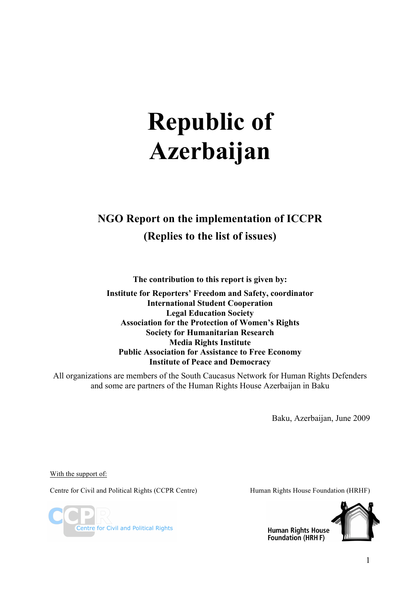# **Republic of Azerbaijan**

## **NGO Report on the implementation of ICCPR (Replies to the list of issues)**

**The contribution to this report is given by:**

**Institute for Reporters' Freedom and Safety, coordinator International Student Cooperation Legal Education Society Association for the Protection of Women's Rights Society for Humanitarian Research Media Rights Institute Public Association for Assistance to Free Economy Institute of Peace and Democracy**

All organizations are members of the South Caucasus Network for Human Rights Defenders and some are partners of the Human Rights House Azerbaijan in Baku

Baku, Azerbaijan, June 2009

With the support of:

Centre for Civil and Political Rights (CCPR Centre) Human Rights House Foundation (HRHF)

Centre for Civil and Political Rights



**Human Rights House** Foundation (HRH F)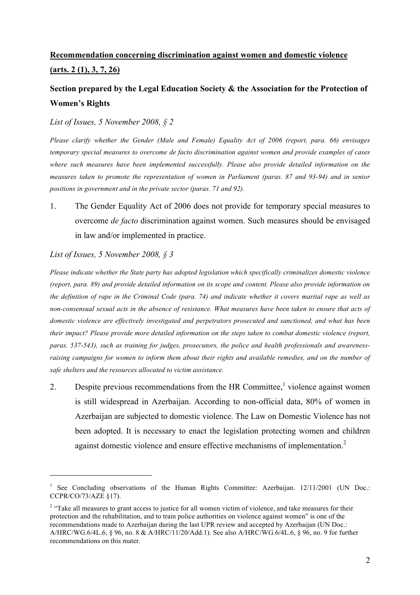## **Recommendation concerning discrimination against women and domestic violence (arts. 2 (1), 3, 7, 26)**

## **Section prepared by the Legal Education Society & the Association for the Protection of Women's Rights**

#### *List of Issues, 5 November 2008, § 2*

*Please clarify whether the Gender (Male and Female) Equality Act of 2006 (report, para. 66) envisages temporary special measures to overcome de facto discrimination against women and provide examples of cases where such measures have been implemented successfully. Please also provide detailed information on the measures taken to promote the representation of women in Parliament (paras. 87 and 93-94) and in senior positions in government and in the private sector (paras. 71 and 92).*

1. The Gender Equality Act of 2006 does not provide for temporary special measures to overcome *de facto* discrimination against women. Such measures should be envisaged in law and/or implemented in practice.

#### *List of Issues, 5 November 2008, § 3*

 $\overline{a}$ 

*Please indicate whether the State party has adopted legislation which specifically criminalizes domestic violence (report, para. 89) and provide detailed information on its scope and content. Please also provide information on the definition of rape in the Criminal Code (para. 74) and indicate whether it covers marital rape as well as non-consensual sexual acts in the absence of resistance. What measures have been taken to ensure that acts of domestic violence are effectively investigated and perpetrators prosecuted and sanctioned, and what has been their impact? Please provide more detailed information on the steps taken to combat domestic violence (report, paras. 537-543), such as training for judges, prosecutors, the police and health professionals and awarenessraising campaigns for women to inform them about their rights and available remedies, and on the number of safe shelters and the resources allocated to victim assistance.*

2. Despite previous recommendations from the HR Committee,<sup>1</sup> violence against women is still widespread in Azerbaijan. According to non-official data, 80% of women in Azerbaijan are subjected to domestic violence. The Law on Domestic Violence has not been adopted. It is necessary to enact the legislation protecting women and children against domestic violence and ensure effective mechanisms of implementation.<sup>2</sup>

<sup>&</sup>lt;sup>1</sup> See Concluding observations of the Human Rights Committee: Azerbaijan.  $12/11/2001$  (UN Doc.: CCPR/CO/73/AZE §17).

<sup>&</sup>lt;sup>2</sup> "Take all measures to grant access to justice for all women victim of violence, and take measures for their protection and the rehabilitation, and to train police authorities on violence against women" is one of the recommendations made to Azerbaijan during the last UPR review and accepted by Azerbaijan (UN Doc.: A/HRC/WG.6/4L.6, § 96, no. 8 & A/HRC/11/20/Add.1). See also A/HRC/WG.6/4L.6, § 96, no. 9 for further recommendations on this mater.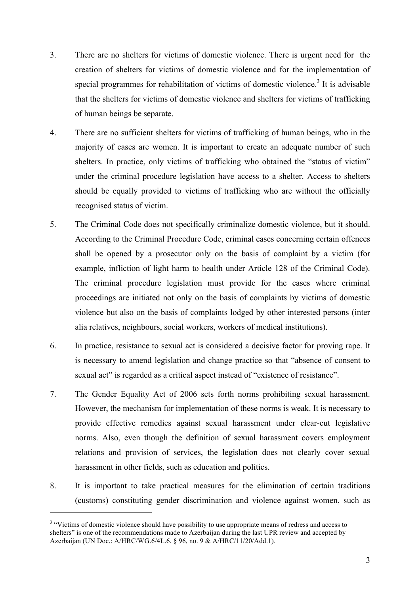- 3. There are no shelters for victims of domestic violence. There is urgent need for the creation of shelters for victims of domestic violence and for the implementation of special programmes for rehabilitation of victims of domestic violence.<sup>3</sup> It is advisable that the shelters for victims of domestic violence and shelters for victims of trafficking of human beings be separate.
- 4. There are no sufficient shelters for victims of trafficking of human beings, who in the majority of cases are women. It is important to create an adequate number of such shelters. In practice, only victims of trafficking who obtained the "status of victim" under the criminal procedure legislation have access to a shelter. Access to shelters should be equally provided to victims of trafficking who are without the officially recognised status of victim.
- 5. The Criminal Code does not specifically criminalize domestic violence, but it should. According to the Criminal Procedure Code, criminal cases concerning certain offences shall be opened by a prosecutor only on the basis of complaint by a victim (for example, infliction of light harm to health under Article 128 of the Criminal Code). The criminal procedure legislation must provide for the cases where criminal proceedings are initiated not only on the basis of complaints by victims of domestic violence but also on the basis of complaints lodged by other interested persons (inter alia relatives, neighbours, social workers, workers of medical institutions).
- 6. In practice, resistance to sexual act is considered a decisive factor for proving rape. It is necessary to amend legislation and change practice so that "absence of consent to sexual act" is regarded as a critical aspect instead of "existence of resistance".
- 7. The Gender Equality Act of 2006 sets forth norms prohibiting sexual harassment. However, the mechanism for implementation of these norms is weak. It is necessary to provide effective remedies against sexual harassment under clear-cut legislative norms. Also, even though the definition of sexual harassment covers employment relations and provision of services, the legislation does not clearly cover sexual harassment in other fields, such as education and politics.
- 8. It is important to take practical measures for the elimination of certain traditions (customs) constituting gender discrimination and violence against women, such as

 $\overline{a}$ 

<sup>&</sup>lt;sup>3</sup> "Victims of domestic violence should have possibility to use appropriate means of redress and access to shelters" is one of the recommendations made to Azerbaijan during the last UPR review and accepted by Azerbaijan (UN Doc.: A/HRC/WG.6/4L.6, § 96, no. 9 & A/HRC/11/20/Add.1).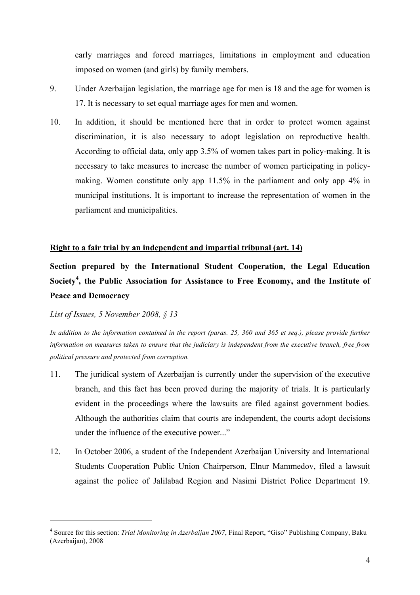early marriages and forced marriages, limitations in employment and education imposed on women (and girls) by family members.

- 9. Under Azerbaijan legislation, the marriage age for men is 18 and the age for women is 17. It is necessary to set equal marriage ages for men and women.
- 10. In addition, it should be mentioned here that in order to protect women against discrimination, it is also necessary to adopt legislation on reproductive health. According to official data, only app 3.5% of women takes part in policy-making. It is necessary to take measures to increase the number of women participating in policymaking. Women constitute only app 11.5% in the parliament and only app 4% in municipal institutions. It is important to increase the representation of women in the parliament and municipalities.

#### **Right to a fair trial by an independent and impartial tribunal (art. 14)**

**Section prepared by the International Student Cooperation, the Legal Education Society<sup>4</sup> , the Public Association for Assistance to Free Economy, and the Institute of Peace and Democracy**

*List of Issues, 5 November 2008, § 13*

 $\overline{a}$ 

*In addition to the information contained in the report (paras. 25, 360 and 365 et seq.), please provide further information on measures taken to ensure that the judiciary is independent from the executive branch, free from political pressure and protected from corruption.*

- 11. The juridical system of Azerbaijan is currently under the supervision of the executive branch, and this fact has been proved during the majority of trials. It is particularly evident in the proceedings where the lawsuits are filed against government bodies. Although the authorities claim that courts are independent, the courts adopt decisions under the influence of the executive power..."
- 12. In October 2006, a student of the Independent Azerbaijan University and International Students Cooperation Public Union Chairperson, Elnur Mammedov, filed a lawsuit against the police of Jalilabad Region and Nasimi District Police Department 19.

<sup>4</sup> Source for this section: *Trial Monitoring in Azerbaijan 2007*, Final Report, "Giso" Publishing Company, Baku (Azerbaijan), 2008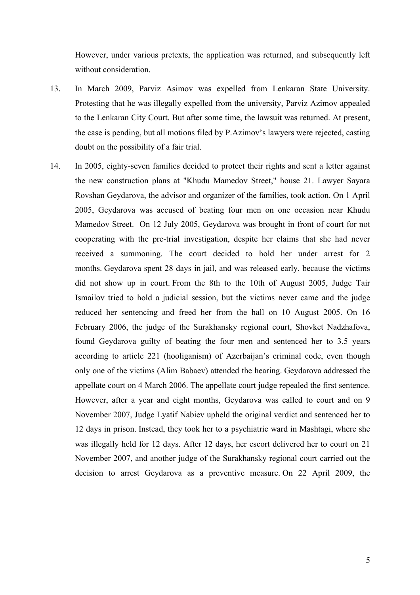However, under various pretexts, the application was returned, and subsequently left without consideration.

- 13. In March 2009, Parviz Asimov was expelled from Lenkaran State University. Protesting that he was illegally expelled from the university, Parviz Azimov appealed to the Lenkaran City Court. But after some time, the lawsuit was returned. At present, the case is pending, but all motions filed by P.Azimov's lawyers were rejected, casting doubt on the possibility of a fair trial.
- 14. In 2005, eighty-seven families decided to protect their rights and sent a letter against the new construction plans at "Khudu Mamedov Street," house 21. Lawyer Sayara Rovshan Geydarova, the advisor and organizer of the families, took action. On 1 April 2005, Geydarova was accused of beating four men on one occasion near Khudu Mamedov Street. On 12 July 2005, Geydarova was brought in front of court for not cooperating with the pre-trial investigation, despite her claims that she had never received a summoning. The court decided to hold her under arrest for 2 months. Geydarova spent 28 days in jail, and was released early, because the victims did not show up in court. From the 8th to the 10th of August 2005, Judge Tair Ismailov tried to hold a judicial session, but the victims never came and the judge reduced her sentencing and freed her from the hall on 10 August 2005. On 16 February 2006, the judge of the Surakhansky regional court, Shovket Nadzhafova, found Geydarova guilty of beating the four men and sentenced her to 3.5 years according to article 221 (hooliganism) of Azerbaijan's criminal code, even though only one of the victims (Alim Babaev) attended the hearing. Geydarova addressed the appellate court on 4 March 2006. The appellate court judge repealed the first sentence. However, after a year and eight months, Geydarova was called to court and on 9 November 2007, Judge Lyatif Nabiev upheld the original verdict and sentenced her to 12 days in prison. Instead, they took her to a psychiatric ward in Mashtagi, where she was illegally held for 12 days. After 12 days, her escort delivered her to court on 21 November 2007, and another judge of the Surakhansky regional court carried out the decision to arrest Geydarova as a preventive measure. On 22 April 2009, the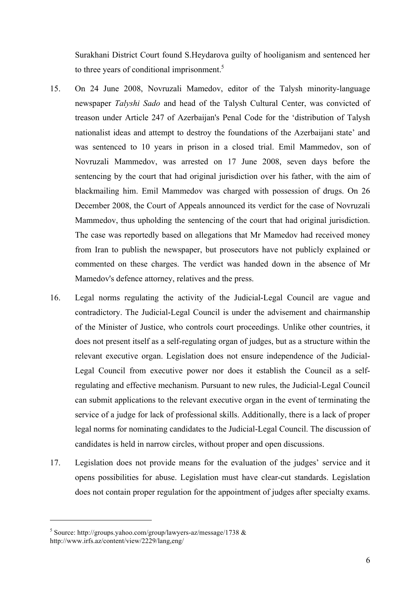Surakhani District Court found S.Heydarova guilty of hooliganism and sentenced her to three years of conditional imprisonment. $5$ 

- 15. On 24 June 2008, Novruzali Mamedov, editor of the Talysh minority-language newspaper *Talyshi Sado* and head of the Talysh Cultural Center, was convicted of treason under Article 247 of Azerbaijan's Penal Code for the 'distribution of Talysh nationalist ideas and attempt to destroy the foundations of the Azerbaijani state' and was sentenced to 10 years in prison in a closed trial. Emil Mammedov, son of Novruzali Mammedov, was arrested on 17 June 2008, seven days before the sentencing by the court that had original jurisdiction over his father, with the aim of blackmailing him. Emil Mammedov was charged with possession of drugs. On 26 December 2008, the Court of Appeals announced its verdict for the case of Novruzali Mammedov, thus upholding the sentencing of the court that had original jurisdiction. The case was reportedly based on allegations that Mr Mamedov had received money from Iran to publish the newspaper, but prosecutors have not publicly explained or commented on these charges. The verdict was handed down in the absence of Mr Mamedov's defence attorney, relatives and the press.
- 16. Legal norms regulating the activity of the Judicial-Legal Council are vague and contradictory. The Judicial-Legal Council is under the advisement and chairmanship of the Minister of Justice, who controls court proceedings. Unlike other countries, it does not present itself as a self-regulating organ of judges, but as a structure within the relevant executive organ. Legislation does not ensure independence of the Judicial-Legal Council from executive power nor does it establish the Council as a selfregulating and effective mechanism. Pursuant to new rules, the Judicial-Legal Council can submit applications to the relevant executive organ in the event of terminating the service of a judge for lack of professional skills. Additionally, there is a lack of proper legal norms for nominating candidates to the Judicial-Legal Council. The discussion of candidates is held in narrow circles, without proper and open discussions.
- 17. Legislation does not provide means for the evaluation of the judges' service and it opens possibilities for abuse. Legislation must have clear-cut standards. Legislation does not contain proper regulation for the appointment of judges after specialty exams.

 $\overline{a}$ 

<sup>&</sup>lt;sup>5</sup> Source: http://groups.yahoo.com/group/lawyers-az/message/1738  $\&$ http://www.irfs.az/content/view/2229/lang,eng/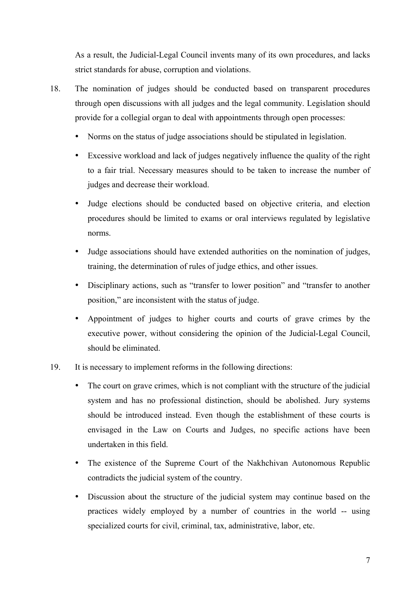As a result, the Judicial-Legal Council invents many of its own procedures, and lacks strict standards for abuse, corruption and violations.

- 18. The nomination of judges should be conducted based on transparent procedures through open discussions with all judges and the legal community. Legislation should provide for a collegial organ to deal with appointments through open processes:
	- Norms on the status of judge associations should be stipulated in legislation.
	- Excessive workload and lack of judges negatively influence the quality of the right to a fair trial. Necessary measures should to be taken to increase the number of judges and decrease their workload.
	- Judge elections should be conducted based on objective criteria, and election procedures should be limited to exams or oral interviews regulated by legislative norms.
	- Judge associations should have extended authorities on the nomination of judges, training, the determination of rules of judge ethics, and other issues.
	- Disciplinary actions, such as "transfer to lower position" and "transfer to another position," are inconsistent with the status of judge.
	- Appointment of judges to higher courts and courts of grave crimes by the executive power, without considering the opinion of the Judicial-Legal Council, should be eliminated.
- 19. It is necessary to implement reforms in the following directions:
	- The court on grave crimes, which is not compliant with the structure of the judicial system and has no professional distinction, should be abolished. Jury systems should be introduced instead. Even though the establishment of these courts is envisaged in the Law on Courts and Judges, no specific actions have been undertaken in this field.
	- The existence of the Supreme Court of the Nakhchivan Autonomous Republic contradicts the judicial system of the country.
	- Discussion about the structure of the judicial system may continue based on the practices widely employed by a number of countries in the world -- using specialized courts for civil, criminal, tax, administrative, labor, etc.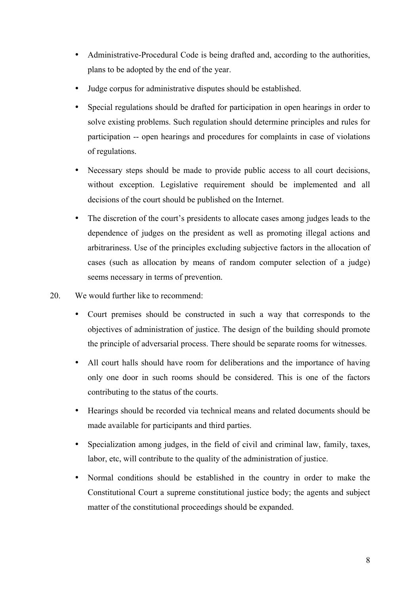- Administrative-Procedural Code is being drafted and, according to the authorities, plans to be adopted by the end of the year.
- Judge corpus for administrative disputes should be established.
- Special regulations should be drafted for participation in open hearings in order to solve existing problems. Such regulation should determine principles and rules for participation -- open hearings and procedures for complaints in case of violations of regulations.
- Necessary steps should be made to provide public access to all court decisions, without exception. Legislative requirement should be implemented and all decisions of the court should be published on the Internet.
- The discretion of the court's presidents to allocate cases among judges leads to the dependence of judges on the president as well as promoting illegal actions and arbitrariness. Use of the principles excluding subjective factors in the allocation of cases (such as allocation by means of random computer selection of a judge) seems necessary in terms of prevention.
- 20. We would further like to recommend:
	- Court premises should be constructed in such a way that corresponds to the objectives of administration of justice. The design of the building should promote the principle of adversarial process. There should be separate rooms for witnesses.
	- All court halls should have room for deliberations and the importance of having only one door in such rooms should be considered. This is one of the factors contributing to the status of the courts.
	- Hearings should be recorded via technical means and related documents should be made available for participants and third parties.
	- Specialization among judges, in the field of civil and criminal law, family, taxes, labor, etc, will contribute to the quality of the administration of justice.
	- Normal conditions should be established in the country in order to make the Constitutional Court a supreme constitutional justice body; the agents and subject matter of the constitutional proceedings should be expanded.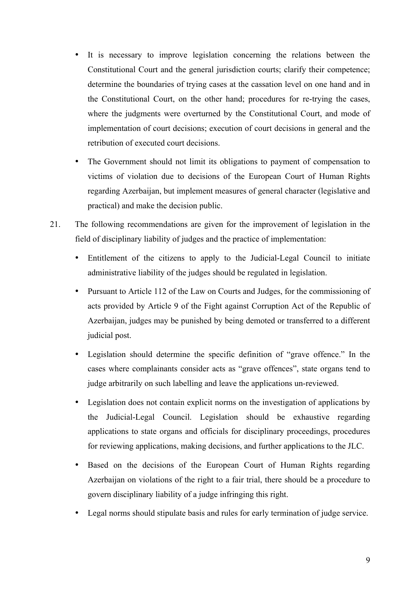- It is necessary to improve legislation concerning the relations between the Constitutional Court and the general jurisdiction courts; clarify their competence; determine the boundaries of trying cases at the cassation level on one hand and in the Constitutional Court, on the other hand; procedures for re-trying the cases, where the judgments were overturned by the Constitutional Court, and mode of implementation of court decisions; execution of court decisions in general and the retribution of executed court decisions.
- The Government should not limit its obligations to payment of compensation to victims of violation due to decisions of the European Court of Human Rights regarding Azerbaijan, but implement measures of general character (legislative and practical) and make the decision public.
- 21. The following recommendations are given for the improvement of legislation in the field of disciplinary liability of judges and the practice of implementation:
	- Entitlement of the citizens to apply to the Judicial-Legal Council to initiate administrative liability of the judges should be regulated in legislation.
	- Pursuant to Article 112 of the Law on Courts and Judges, for the commissioning of acts provided by Article 9 of the Fight against Corruption Act of the Republic of Azerbaijan, judges may be punished by being demoted or transferred to a different judicial post.
	- Legislation should determine the specific definition of "grave offence." In the cases where complainants consider acts as "grave offences", state organs tend to judge arbitrarily on such labelling and leave the applications un-reviewed.
	- Legislation does not contain explicit norms on the investigation of applications by the Judicial-Legal Council. Legislation should be exhaustive regarding applications to state organs and officials for disciplinary proceedings, procedures for reviewing applications, making decisions, and further applications to the JLC.
	- Based on the decisions of the European Court of Human Rights regarding Azerbaijan on violations of the right to a fair trial, there should be a procedure to govern disciplinary liability of a judge infringing this right.
	- Legal norms should stipulate basis and rules for early termination of judge service.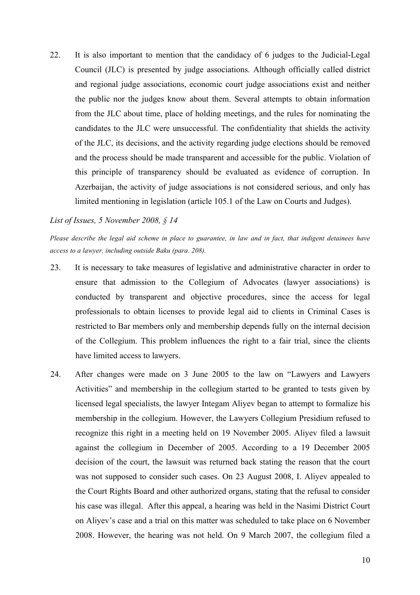22. It is also important to mention that the candidacy of 6 judges to the Judicial-Legal Council (JLC) is presented by judge associations. Although officially called district and regional judge associations, economic court judge associations exist and neither the public nor the judges know about them. Several attempts to obtain information from the JLC about time, place of holding meetings, and the rules for nominating the candidates to the JLC were unsuccessful. The confidentiality that shields the activity of the JLC, its decisions, and the activity regarding judge elections should be removed and the process should be made transparent and accessible for the public. Violation of this principle of transparency should be evaluated as evidence of corruption. In Azerbaijan, the activity of judge associations is not considered serious, and only has limited mentioning in legislation (article 105.1 of the Law on Courts and Judges).

#### *List of Issues, 5 November 2008, § 14*

*Please describe the legal aid scheme in place to guarantee, in law and in fact, that indigent detainees have access to a lawyer, including outside Baku (para. 208).*

- 23. It is necessary to take measures of legislative and administrative character in order to ensure that admission to the Collegium of Advocates (lawyer associations) is conducted by transparent and objective procedures, since the access for legal professionals to obtain licenses to provide legal aid to clients in Criminal Cases is restricted to Bar members only and membership depends fully on the internal decision of the Collegium. This problem influences the right to a fair trial, since the clients have limited access to lawyers.
- 24. After changes were made on 3 June 2005 to the law on "Lawyers and Lawyers Activities" and membership in the collegium started to be granted to tests given by licensed legal specialists, the lawyer Integam Aliyev began to attempt to formalize his membership in the collegium. However, the Lawyers Collegium Presidium refused to recognize this right in a meeting held on 19 November 2005. Aliyev filed a lawsuit against the collegium in December of 2005. According to a 19 December 2005 decision of the court, the lawsuit was returned back stating the reason that the court was not supposed to consider such cases. On 23 August 2008, I. Aliyev appealed to the Court Rights Board and other authorized organs, stating that the refusal to consider his case was illegal. After this appeal, a hearing was held in the Nasimi District Court on Aliyev's case and a trial on this matter was scheduled to take place on 6 November 2008. However, the hearing was not held. On 9 March 2007, the collegium filed a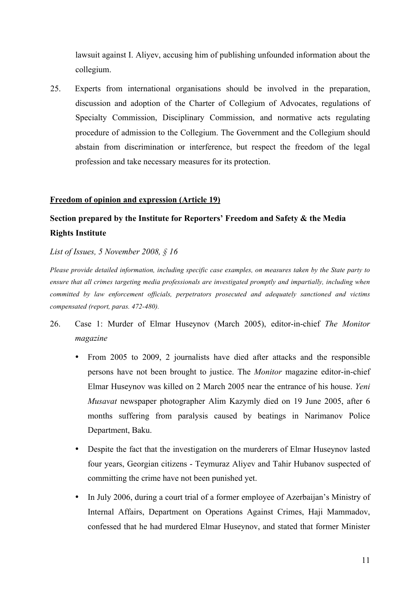lawsuit against I. Aliyev, accusing him of publishing unfounded information about the collegium.

25. Experts from international organisations should be involved in the preparation, discussion and adoption of the Charter of Collegium of Advocates, regulations of Specialty Commission, Disciplinary Commission, and normative acts regulating procedure of admission to the Collegium. The Government and the Collegium should abstain from discrimination or interference, but respect the freedom of the legal profession and take necessary measures for its protection.

#### **Freedom of opinion and expression (Article 19)**

## **Section prepared by the Institute for Reporters' Freedom and Safety & the Media Rights Institute**

*List of Issues, 5 November 2008, § 16*

*Please provide detailed information, including specific case examples, on measures taken by the State party to ensure that all crimes targeting media professionals are investigated promptly and impartially, including when committed by law enforcement officials, perpetrators prosecuted and adequately sanctioned and victims compensated (report, paras. 472-480).*

- 26. Case 1: Murder of Elmar Huseynov (March 2005), editor-in-chief *The Monitor magazine*
	- From 2005 to 2009, 2 journalists have died after attacks and the responsible persons have not been brought to justice. The *Monitor* magazine editor-in-chief Elmar Huseynov was killed on 2 March 2005 near the entrance of his house. *Yeni Musavat* newspaper photographer Alim Kazymly died on 19 June 2005, after 6 months suffering from paralysis caused by beatings in Narimanov Police Department, Baku.
	- Despite the fact that the investigation on the murderers of Elmar Huseynov lasted four years, Georgian citizens - Teymuraz Aliyev and Tahir Hubanov suspected of committing the crime have not been punished yet.
	- In July 2006, during a court trial of a former employee of Azerbaijan's Ministry of Internal Affairs, Department on Operations Against Crimes, Haji Mammadov, confessed that he had murdered Elmar Huseynov, and stated that former Minister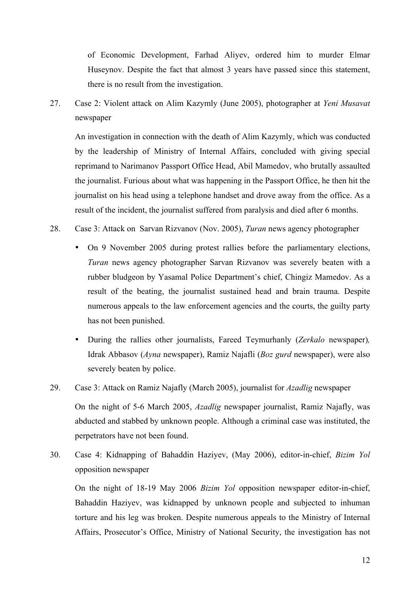of Economic Development, Farhad Aliyev, ordered him to murder Elmar Huseynov. Despite the fact that almost 3 years have passed since this statement, there is no result from the investigation.

27. Case 2: Violent attack on Alim Kazymly (June 2005), photographer at *Yeni Musavat* newspaper

An investigation in connection with the death of Alim Kazymly, which was conducted by the leadership of Ministry of Internal Affairs, concluded with giving special reprimand to Narimanov Passport Office Head, Abil Mamedov, who brutally assaulted the journalist. Furious about what was happening in the Passport Office, he then hit the journalist on his head using a telephone handset and drove away from the office. As a result of the incident, the journalist suffered from paralysis and died after 6 months.

- 28. Case 3: Attack on Sarvan Rizvanov (Nov. 2005), *Turan* news agency photographer
	- On 9 November 2005 during protest rallies before the parliamentary elections, *Turan* news agency photographer Sarvan Rizvanov was severely beaten with a rubber bludgeon by Yasamal Police Department's chief, Chingiz Mamedov. As a result of the beating, the journalist sustained head and brain trauma. Despite numerous appeals to the law enforcement agencies and the courts, the guilty party has not been punished.
	- During the rallies other journalists, Fareed Teymurhanly (*Zerkalo* newspaper)*,*  Idrak Abbasov (*Ayna* newspaper), Ramiz Najafli (*Boz gurd* newspaper), were also severely beaten by police.
- 29. Case 3: Attack on Ramiz Najafly (March 2005), journalist for *Azadlig* newspaper

On the night of 5-6 March 2005, *Azadlig* newspaper journalist, Ramiz Najafly, was abducted and stabbed by unknown people. Although a criminal case was instituted, the perpetrators have not been found.

30. Case 4: Kidnapping of Bahaddin Haziyev, (May 2006), editor-in-chief, *Bizim Yol* opposition newspaper

On the night of 18-19 May 2006 *Bizim Yol* opposition newspaper editor-in-chief, Bahaddin Haziyev, was kidnapped by unknown people and subjected to inhuman torture and his leg was broken. Despite numerous appeals to the Ministry of Internal Affairs, Prosecutor's Office, Ministry of National Security, the investigation has not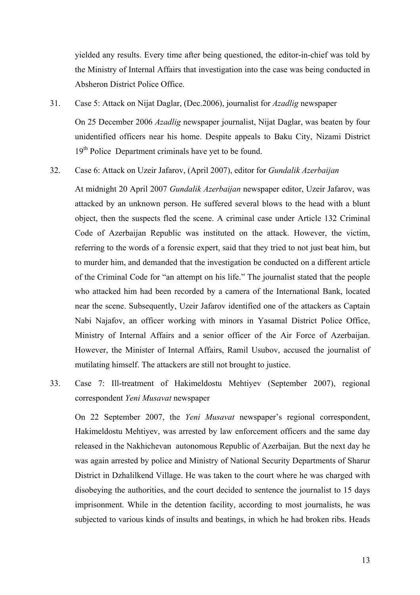yielded any results. Every time after being questioned, the editor-in-chief was told by the Ministry of Internal Affairs that investigation into the case was being conducted in Absheron District Police Office.

31. Case 5: Attack on Nijat Daglar, (Dec.2006), journalist for *Azadlig* newspaper

On 25 December 2006 *Azadlig* newspaper journalist, Nijat Daglar, was beaten by four unidentified officers near his home. Despite appeals to Baku City, Nizami District 19<sup>th</sup> Police Department criminals have yet to be found.

32. Case 6: Attack on Uzeir Jafarov, (April 2007), editor for *Gundalik Azerbaijan*

At midnight 20 April 2007 *Gundalik Azerbaijan* newspaper editor, Uzeir Jafarov, was attacked by an unknown person. He suffered several blows to the head with a blunt object, then the suspects fled the scene. A criminal case under Article 132 Criminal Code of Azerbaijan Republic was instituted on the attack. However, the victim, referring to the words of a forensic expert, said that they tried to not just beat him, but to murder him, and demanded that the investigation be conducted on a different article of the Criminal Code for "an attempt on his life." The journalist stated that the people who attacked him had been recorded by a camera of the International Bank, located near the scene. Subsequently, Uzeir Jafarov identified one of the attackers as Captain Nabi Najafov, an officer working with minors in Yasamal District Police Office, Ministry of Internal Affairs and a senior officer of the Air Force of Azerbaijan. However, the Minister of Internal Affairs, Ramil Usubov, accused the journalist of mutilating himself. The attackers are still not brought to justice.

33. Case 7: Ill-treatment of Hakimeldostu Mehtiyev (September 2007), regional correspondent *Yeni Musavat* newspaper

On 22 September 2007, the *Yeni Musavat* newspaper's regional correspondent, Hakimeldostu Mehtiyev, was arrested by law enforcement officers and the same day released in the Nakhichevan autonomous Republic of Azerbaijan. But the next day he was again arrested by police and Ministry of National Security Departments of Sharur District in Dzhalilkend Village. He was taken to the court where he was charged with disobeying the authorities, and the court decided to sentence the journalist to 15 days imprisonment. While in the detention facility, according to most journalists, he was subjected to various kinds of insults and beatings, in which he had broken ribs. Heads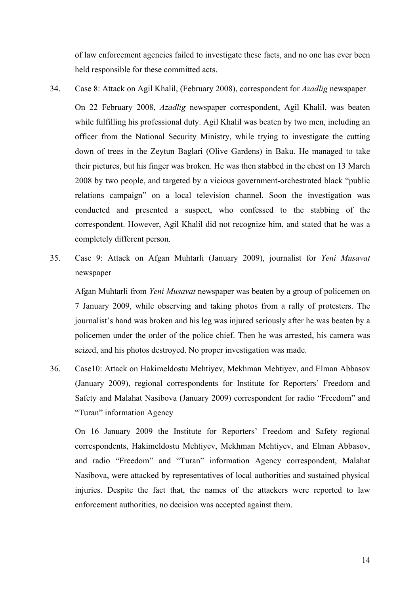of law enforcement agencies failed to investigate these facts, and no one has ever been held responsible for these committed acts.

- 34. Case 8: Attack on Agil Khalil, (February 2008), correspondent for *Azadlig* newspaper On 22 February 2008, *Azadlig* newspaper correspondent, Agil Khalil, was beaten while fulfilling his professional duty. Agil Khalil was beaten by two men, including an officer from the National Security Ministry, while trying to investigate the cutting down of trees in the Zeytun Baglari (Olive Gardens) in Baku. He managed to take their pictures, but his finger was broken. He was then stabbed in the chest on 13 March 2008 by two people, and targeted by a vicious government-orchestrated black "public relations campaign" on a local television channel. Soon the investigation was conducted and presented a suspect, who confessed to the stabbing of the correspondent. However, Agil Khalil did not recognize him, and stated that he was a completely different person.
- 35. Case 9: Attack on Afgan Muhtarli (January 2009), journalist for *Yeni Musavat* newspaper

Afgan Muhtarli from *Yeni Musavat* newspaper was beaten by a group of policemen on 7 January 2009, while observing and taking photos from a rally of protesters. The journalist's hand was broken and his leg was injured seriously after he was beaten by a policemen under the order of the police chief. Then he was arrested, his camera was seized, and his photos destroyed. No proper investigation was made.

36. Case10: Attack on Hakimeldostu Mehtiyev, Mekhman Mehtiyev, and Elman Abbasov (January 2009), regional correspondents for Institute for Reporters' Freedom and Safety and Malahat Nasibova (January 2009) correspondent for radio "Freedom" and "Turan" information Agency

On 16 January 2009 the Institute for Reporters' Freedom and Safety regional correspondents, Hakimeldostu Mehtiyev, Mekhman Mehtiyev, and Elman Abbasov, and radio "Freedom" and "Turan" information Agency correspondent, Malahat Nasibova, were attacked by representatives of local authorities and sustained physical injuries. Despite the fact that, the names of the attackers were reported to law enforcement authorities, no decision was accepted against them.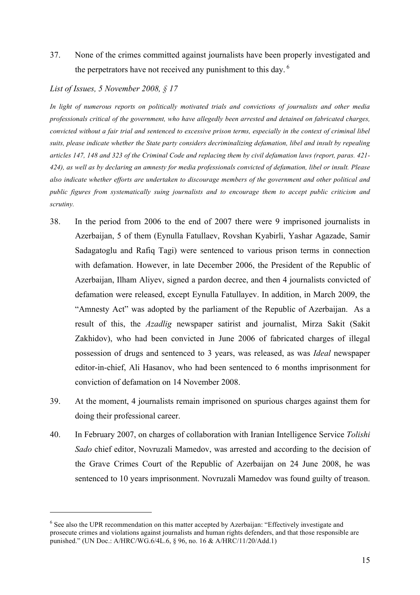37. None of the crimes committed against journalists have been properly investigated and the perpetrators have not received any punishment to this day.<sup>6</sup>

#### *List of Issues, 5 November 2008, § 17*

 $\overline{a}$ 

*In light of numerous reports on politically motivated trials and convictions of journalists and other media professionals critical of the government, who have allegedly been arrested and detained on fabricated charges, convicted without a fair trial and sentenced to excessive prison terms, especially in the context of criminal libel suits, please indicate whether the State party considers decriminalizing defamation, libel and insult by repealing articles 147, 148 and 323 of the Criminal Code and replacing them by civil defamation laws (report, paras. 421- 424), as well as by declaring an amnesty for media professionals convicted of defamation, libel or insult. Please also indicate whether efforts are undertaken to discourage members of the government and other political and public figures from systematically suing journalists and to encourage them to accept public criticism and scrutiny.*

- 38. In the period from 2006 to the end of 2007 there were 9 imprisoned journalists in Azerbaijan, 5 of them (Eynulla Fatullaev, Rovshan Kyabirli, Yashar Agazade, Samir Sadagatoglu and Rafiq Tagi) were sentenced to various prison terms in connection with defamation. However, in late December 2006, the President of the Republic of Azerbaijan, Ilham Aliyev, signed a pardon decree, and then 4 journalists convicted of defamation were released, except Eynulla Fatullayev. In addition, in March 2009, the "Amnesty Act" was adopted by the parliament of the Republic of Azerbaijan. As a result of this, the *Azadlig* newspaper satirist and journalist, Mirza Sakit (Sakit Zakhidov), who had been convicted in June 2006 of fabricated charges of illegal possession of drugs and sentenced to 3 years, was released, as was *Ideal* newspaper editor-in-chief, Ali Hasanov, who had been sentenced to 6 months imprisonment for conviction of defamation on 14 November 2008.
- 39. At the moment, 4 journalists remain imprisoned on spurious charges against them for doing their professional career.
- 40. In February 2007, on charges of collaboration with Iranian Intelligence Service *Tolishi Sado* chief editor, Novruzali Mamedov, was arrested and according to the decision of the Grave Crimes Court of the Republic of Azerbaijan on 24 June 2008, he was sentenced to 10 years imprisonment. Novruzali Mamedov was found guilty of treason.

<sup>&</sup>lt;sup>6</sup> See also the UPR recommendation on this matter accepted by Azerbaijan: "Effectively investigate and prosecute crimes and violations against journalists and human rights defenders, and that those responsible are punished." (UN Doc.: A/HRC/WG.6/4L.6, § 96, no. 16 & A/HRC/11/20/Add.1)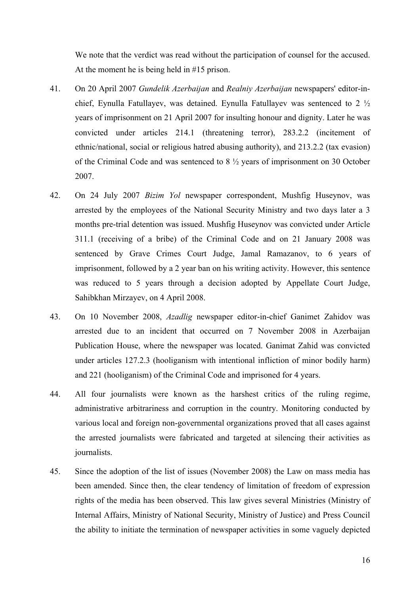We note that the verdict was read without the participation of counsel for the accused. At the moment he is being held in #15 prison.

- 41. On 20 April 2007 *Gundelik Azerbaijan* and *Realniy Azerbaijan* newspapers' editor-inchief, Eynulla Fatullayev, was detained. Eynulla Fatullayev was sentenced to 2 ½ years of imprisonment on 21 April 2007 for insulting honour and dignity. Later he was convicted under articles 214.1 (threatening terror), 283.2.2 (incitement of ethnic/national, social or religious hatred abusing authority), and 213.2.2 (tax evasion) of the Criminal Code and was sentenced to 8 ½ years of imprisonment on 30 October 2007.
- 42. On 24 July 2007 *Bizim Yol* newspaper correspondent, Mushfig Huseynov, was arrested by the employees of the National Security Ministry and two days later a 3 months pre-trial detention was issued. Mushfig Huseynov was convicted under Article 311.1 (receiving of a bribe) of the Criminal Code and on 21 January 2008 was sentenced by Grave Crimes Court Judge, Jamal Ramazanov, to 6 years of imprisonment, followed by a 2 year ban on his writing activity. However, this sentence was reduced to 5 years through a decision adopted by Appellate Court Judge, Sahibkhan Mirzayev, on 4 April 2008.
- 43. On 10 November 2008, *Azadlig* newspaper editor-in-chief Ganimet Zahidov was arrested due to an incident that occurred on 7 November 2008 in Azerbaijan Publication House, where the newspaper was located. Ganimat Zahid was convicted under articles 127.2.3 (hooliganism with intentional infliction of minor bodily harm) and 221 (hooliganism) of the Criminal Code and imprisoned for 4 years.
- 44. All four journalists were known as the harshest critics of the ruling regime, administrative arbitrariness and corruption in the country. Monitoring conducted by various local and foreign non-governmental organizations proved that all cases against the arrested journalists were fabricated and targeted at silencing their activities as journalists.
- 45. Since the adoption of the list of issues (November 2008) the Law on mass media has been amended. Since then, the clear tendency of limitation of freedom of expression rights of the media has been observed. This law gives several Ministries (Ministry of Internal Affairs, Ministry of National Security, Ministry of Justice) and Press Council the ability to initiate the termination of newspaper activities in some vaguely depicted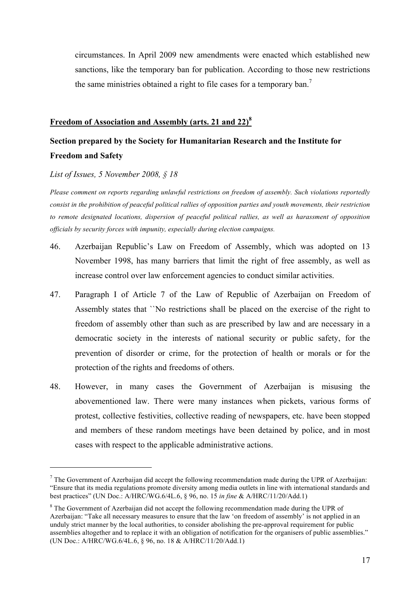circumstances. In April 2009 new amendments were enacted which established new sanctions, like the temporary ban for publication. According to those new restrictions the same ministries obtained a right to file cases for a temporary ban.<sup>7</sup>

#### **Freedom of Association and Assembly (arts. 21 and 22)<sup>8</sup>**

## **Section prepared by the Society for Humanitarian Research and the Institute for Freedom and Safety**

*List of Issues, 5 November 2008, § 18*

 $\overline{a}$ 

*Please comment on reports regarding unlawful restrictions on freedom of assembly. Such violations reportedly consist in the prohibition of peaceful political rallies of opposition parties and youth movements, their restriction to remote designated locations, dispersion of peaceful political rallies, as well as harassment of opposition officials by security forces with impunity, especially during election campaigns.*

- 46. Azerbaijan Republic's Law on Freedom of Assembly, which was adopted on 13 November 1998, has many barriers that limit the right of free assembly, as well as increase control over law enforcement agencies to conduct similar activities.
- 47. Paragraph I of Article 7 of the Law of Republic of Azerbaijan on Freedom of Assembly states that ``No restrictions shall be placed on the exercise of the right to freedom of assembly other than such as are prescribed by law and are necessary in a democratic society in the interests of national security or public safety, for the prevention of disorder or crime, for the protection of health or morals or for the protection of the rights and freedoms of others.
- 48. However, in many cases the Government of Azerbaijan is misusing the abovementioned law. There were many instances when pickets, various forms of protest, collective festivities, collective reading of newspapers, etc. have been stopped and members of these random meetings have been detained by police, and in most cases with respect to the applicable administrative actions.

 $<sup>7</sup>$  The Government of Azerbaijan did accept the following recommendation made during the UPR of Azerbaijan:</sup> "Ensure that its media regulations promote diversity among media outlets in line with international standards and best practices" (UN Doc.: A/HRC/WG.6/4L.6, § 96, no. 15 *in fine* & A/HRC/11/20/Add.1)

 $8$  The Government of Azerbaijan did not accept the following recommendation made during the UPR of Azerbaijan: "Take all necessary measures to ensure that the law 'on freedom of assembly' is not applied in an unduly strict manner by the local authorities, to consider abolishing the pre-approval requirement for public assemblies altogether and to replace it with an obligation of notification for the organisers of public assemblies." (UN Doc.: A/HRC/WG.6/4L.6, § 96, no. 18 & A/HRC/11/20/Add.1)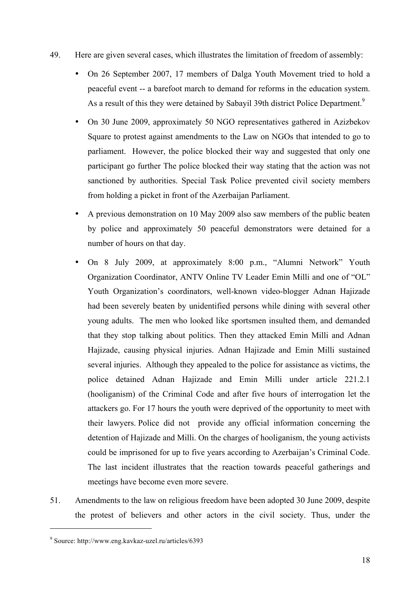- 49. Here are given several cases, which illustrates the limitation of freedom of assembly:
	- On 26 September 2007, 17 members of Dalga Youth Movement tried to hold a peaceful event -- a barefoot march to demand for reforms in the education system. As a result of this they were detained by Sabayil 39th district Police Department.<sup>9</sup>
	- On 30 June 2009, approximately 50 NGO representatives gathered in Azizbekov Square to protest against amendments to the Law on NGOs that intended to go to parliament. However, the police blocked their way and suggested that only one participant go further The police blocked their way stating that the action was not sanctioned by authorities. Special Task Police prevented civil society members from holding a picket in front of the Azerbaijan Parliament.
	- A previous demonstration on 10 May 2009 also saw members of the public beaten by police and approximately 50 peaceful demonstrators were detained for a number of hours on that day.
	- On 8 July 2009, at approximately 8:00 p.m., "Alumni Network" Youth Organization Coordinator, ANTV Online TV Leader Emin Milli and one of "OL" Youth Organization's coordinators, well-known video-blogger Adnan Hajizade had been severely beaten by unidentified persons while dining with several other young adults. The men who looked like sportsmen insulted them, and demanded that they stop talking about politics. Then they attacked Emin Milli and Adnan Hajizade, causing physical injuries. Adnan Hajizade and Emin Milli sustained several injuries. Although they appealed to the police for assistance as victims, the police detained Adnan Hajizade and Emin Milli under article 221.2.1 (hooliganism) of the Criminal Code and after five hours of interrogation let the attackers go. For 17 hours the youth were deprived of the opportunity to meet with their lawyers. Police did not provide any official information concerning the detention of Hajizade and Milli. On the charges of hooliganism, the young activists could be imprisoned for up to five years according to Azerbaijan's Criminal Code. The last incident illustrates that the reaction towards peaceful gatherings and meetings have become even more severe.
- 51. Amendments to the law on religious freedom have been adopted 30 June 2009, despite the protest of believers and other actors in the civil society. Thus, under the

 $\overline{a}$ 

<sup>9</sup> Source: http://www.eng.kavkaz-uzel.ru/articles/6393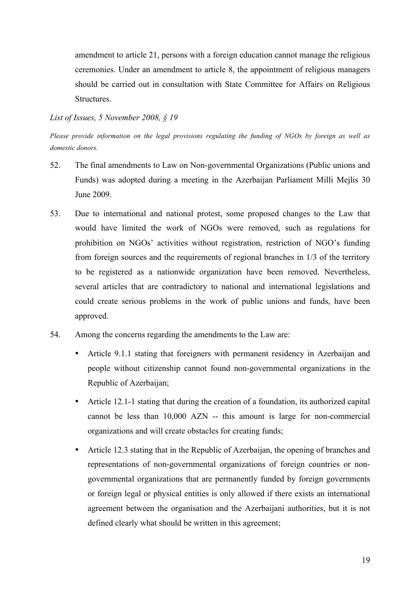amendment to article 21, persons with a foreign education cannot manage the religious ceremonies. Under an amendment to article 8, the appointment of religious managers should be carried out in consultation with State Committee for Affairs on Religious Structures.

#### *List of Issues, 5 November 2008, § 19*

*Please provide information on the legal provisions regulating the funding of NGOs by foreign as well as domestic donors.*

- 52. The final amendments to Law on Non-governmental Organizations (Public unions and Funds) was adopted during a meeting in the Azerbaijan Parliament Milli Mejlis 30 June 2009.
- 53. Due to international and national protest, some proposed changes to the Law that would have limited the work of NGOs were removed, such as regulations for prohibition on NGOs' activities without registration, restriction of NGO's funding from foreign sources and the requirements of regional branches in 1/3 of the territory to be registered as a nationwide organization have been removed. Nevertheless, several articles that are contradictory to national and international legislations and could create serious problems in the work of public unions and funds, have been approved.
- 54. Among the concerns regarding the amendments to the Law are:
	- Article 9.1.1 stating that foreigners with permanent residency in Azerbaijan and people without citizenship cannot found non-governmental organizations in the Republic of Azerbaijan;
	- Article 12.1-1 stating that during the creation of a foundation, its authorized capital cannot be less than 10,000 AZN -- this amount is large for non-commercial organizations and will create obstacles for creating funds;
	- Article 12.3 stating that in the Republic of Azerbaijan, the opening of branches and representations of non-governmental organizations of foreign countries or nongovernmental organizations that are permanently funded by foreign governments or foreign legal or physical entities is only allowed if there exists an international agreement between the organisation and the Azerbaijani authorities, but it is not defined clearly what should be written in this agreement;